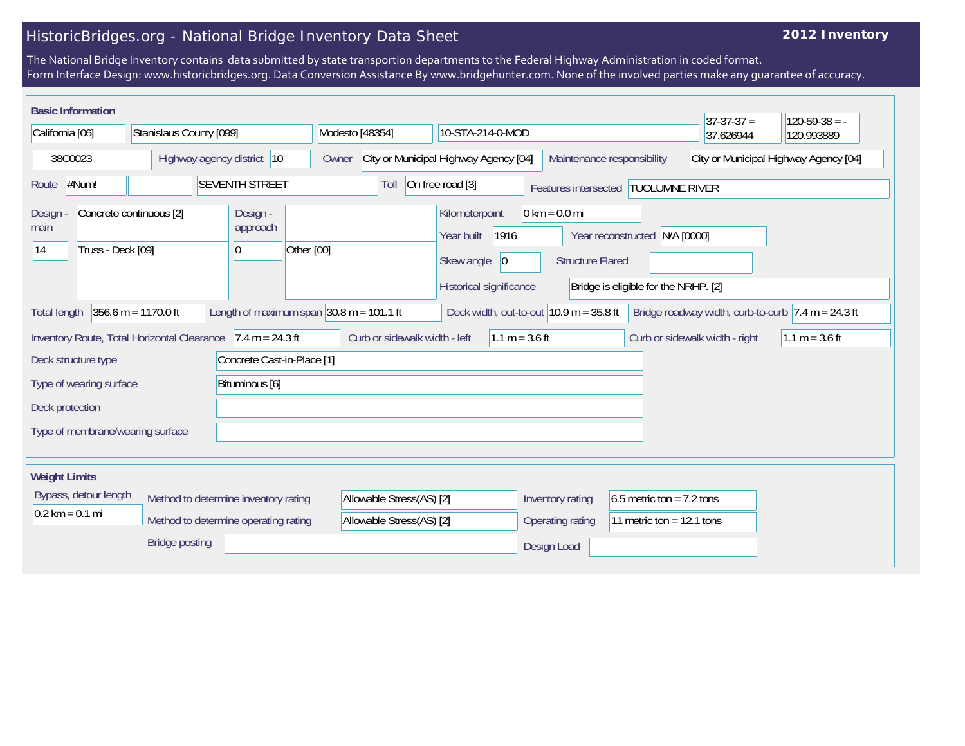## HistoricBridges.org - National Bridge Inventory Data Sheet

## **2012 Inventory**

The National Bridge Inventory contains data submitted by state transportion departments to the Federal Highway Administration in coded format. Form Interface Design: www.historicbridges.org. Data Conversion Assistance By www.bridgehunter.com. None of the involved parties make any guarantee of accuracy.

|                                                                                                             | <b>Basic Information</b>                                                  |                            |                                          |                                                   |                                                                                      |                                           |                                                            |                                                                       |                                                                        | $37-37-37 =$ | $120-59-38 = -$                       |
|-------------------------------------------------------------------------------------------------------------|---------------------------------------------------------------------------|----------------------------|------------------------------------------|---------------------------------------------------|--------------------------------------------------------------------------------------|-------------------------------------------|------------------------------------------------------------|-----------------------------------------------------------------------|------------------------------------------------------------------------|--------------|---------------------------------------|
| California [06]                                                                                             |                                                                           | Stanislaus County [099]    |                                          |                                                   | Modesto [48354]                                                                      |                                           | 10-STA-214-0-MOD                                           |                                                                       | 37.626944                                                              | 120.993889   |                                       |
| 38C0023                                                                                                     |                                                                           | Highway agency district 10 |                                          |                                                   | Owner                                                                                |                                           | City or Municipal Highway Agency [04]                      |                                                                       | Maintenance responsibility                                             |              | City or Municipal Highway Agency [04] |
| Route                                                                                                       | $\#Num!$<br><b>SEVENTH STREET</b>                                         |                            |                                          |                                                   | Toll                                                                                 | On free road [3]                          |                                                            | Features intersected   TUOLUMNE RIVER                                 |                                                                        |              |                                       |
| Concrete continuous [2]<br>Design<br>main<br>Truss - Deck [09]<br> 14                                       |                                                                           |                            | Design -<br>approach<br>Other [00]<br>10 |                                                   | Kilometerpoint<br>1916<br>Year built<br>Skew angle<br> 0 <br>Historical significance |                                           | $0 \text{ km} = 0.0 \text{ mi}$<br><b>Structure Flared</b> | Year reconstructed N/A [0000]<br>Bridge is eligible for the NRHP. [2] |                                                                        |              |                                       |
| $356.6 m = 1170.0 ft$<br>Length of maximum span $ 30.8 \text{ m} = 101.1 \text{ ft}$<br><b>Total length</b> |                                                                           |                            |                                          |                                                   |                                                                                      | Deck width, out-to-out $10.9$ m = 35.8 ft |                                                            |                                                                       | Bridge roadway width, curb-to-curb $ 7.4 \text{ m} = 24.3 \text{ ft} $ |              |                                       |
| Inventory Route, Total Horizontal Clearance<br>$7.4 m = 24.3 ft$                                            |                                                                           |                            |                                          | Curb or sidewalk width - left<br>$1.1 m = 3.6 ft$ |                                                                                      |                                           |                                                            | Curb or sidewalk width - right                                        | $1.1 m = 3.6 ft$                                                       |              |                                       |
| Concrete Cast-in-Place [1]<br>Deck structure type                                                           |                                                                           |                            |                                          |                                                   |                                                                                      |                                           |                                                            |                                                                       |                                                                        |              |                                       |
| Type of wearing surface                                                                                     |                                                                           | Bituminous [6]             |                                          |                                                   |                                                                                      |                                           |                                                            |                                                                       |                                                                        |              |                                       |
| Deck protection                                                                                             |                                                                           |                            |                                          |                                                   |                                                                                      |                                           |                                                            |                                                                       |                                                                        |              |                                       |
| Type of membrane/wearing surface                                                                            |                                                                           |                            |                                          |                                                   |                                                                                      |                                           |                                                            |                                                                       |                                                                        |              |                                       |
| <b>Weight Limits</b>                                                                                        |                                                                           |                            |                                          |                                                   |                                                                                      |                                           |                                                            |                                                                       |                                                                        |              |                                       |
|                                                                                                             | Bypass, detour length<br>Method to determine inventory rating             |                            |                                          |                                                   | Allowable Stress(AS) [2]                                                             |                                           | Inventory rating                                           | 6.5 metric ton = $7.2$ tons                                           |                                                                        |              |                                       |
|                                                                                                             | $0.2 \text{ km} = 0.1 \text{ mi}$<br>Method to determine operating rating |                            |                                          | Allowable Stress(AS) [2]                          |                                                                                      | Operating rating                          | 11 metric ton = $12.1$ tons                                |                                                                       |                                                                        |              |                                       |
| <b>Bridge posting</b>                                                                                       |                                                                           |                            |                                          |                                                   |                                                                                      | Design Load                               |                                                            |                                                                       |                                                                        |              |                                       |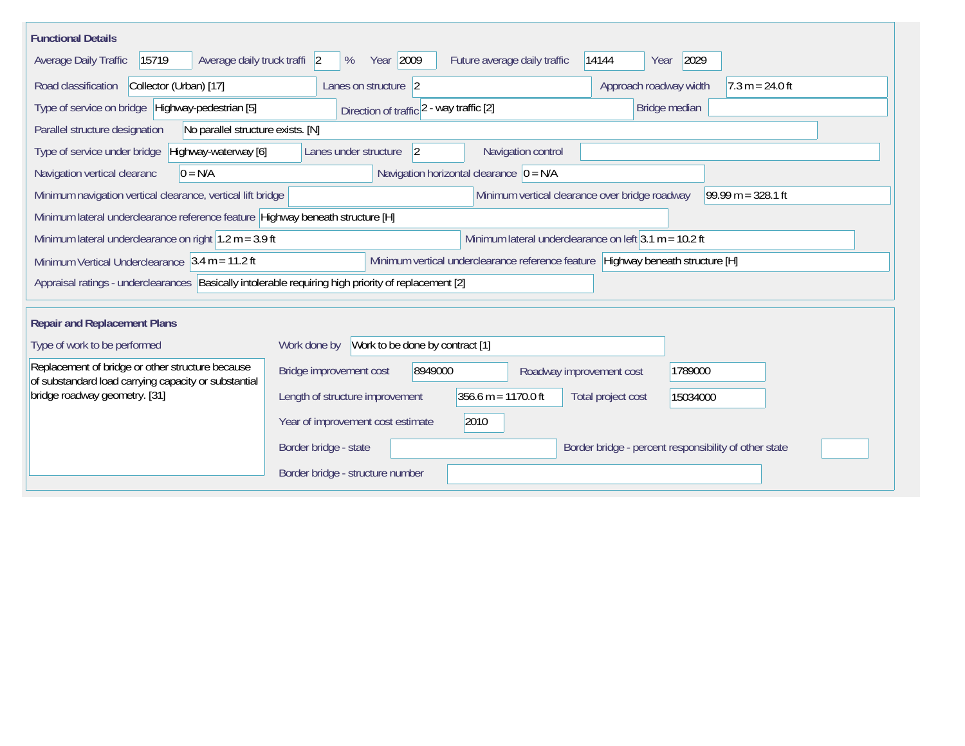| <b>Functional Details</b>                                                                                |                                                                                            |  |
|----------------------------------------------------------------------------------------------------------|--------------------------------------------------------------------------------------------|--|
| Average daily truck traffi 2<br>Average Daily Traffic<br>15719                                           | Year 2009<br>2029<br>%<br>Future average daily traffic<br>14144<br>Year                    |  |
| Road classification<br>Collector (Urban) [17]                                                            | Lanes on structure 2<br>Approach roadway width<br>$7.3 m = 24.0 ft$                        |  |
| Type of service on bridge Highway-pedestrian [5]                                                         | Direction of traffic 2 - way traffic [2]<br>Bridge median                                  |  |
| Parallel structure designation<br>No parallel structure exists. [N]                                      |                                                                                            |  |
| Type of service under bridge<br>Highway-waterway [6]                                                     | Navigation control<br>Lanes under structure<br> 2                                          |  |
| Navigation vertical clearanc<br>$0 = N/A$                                                                | Navigation horizontal clearance $ 0 = N/A$                                                 |  |
| Minimum navigation vertical clearance, vertical lift bridge                                              | $99.99 m = 328.1 ft$<br>Minimum vertical clearance over bridge roadway                     |  |
| Minimum lateral underclearance reference feature Highway beneath structure [H]                           |                                                                                            |  |
| Minimum lateral underclearance on right $1.2$ m = 3.9 ft                                                 | Minimum lateral underclearance on left $3.1$ m = 10.2 ft                                   |  |
| Minimum Vertical Underclearance $ 3.4 \text{ m} = 11.2 \text{ ft} $                                      | Minimum vertical underclearance reference feature Highway beneath structure [H]            |  |
| Appraisal ratings - underclearances Basically intolerable requiring high priority of replacement [2]     |                                                                                            |  |
| <b>Repair and Replacement Plans</b>                                                                      |                                                                                            |  |
| Type of work to be performed                                                                             | Work to be done by contract [1]<br>Work done by                                            |  |
| Replacement of bridge or other structure because<br>of substandard load carrying capacity or substantial | Bridge improvement cost<br>8949000<br>1789000<br>Roadway improvement cost                  |  |
| bridge roadway geometry. [31]                                                                            | $356.6 m = 1170.0 ft$<br>Length of structure improvement<br>Total project cost<br>15034000 |  |
|                                                                                                          | Year of improvement cost estimate<br>2010                                                  |  |
|                                                                                                          | Border bridge - percent responsibility of other state<br>Border bridge - state             |  |
|                                                                                                          | Border bridge - structure number                                                           |  |